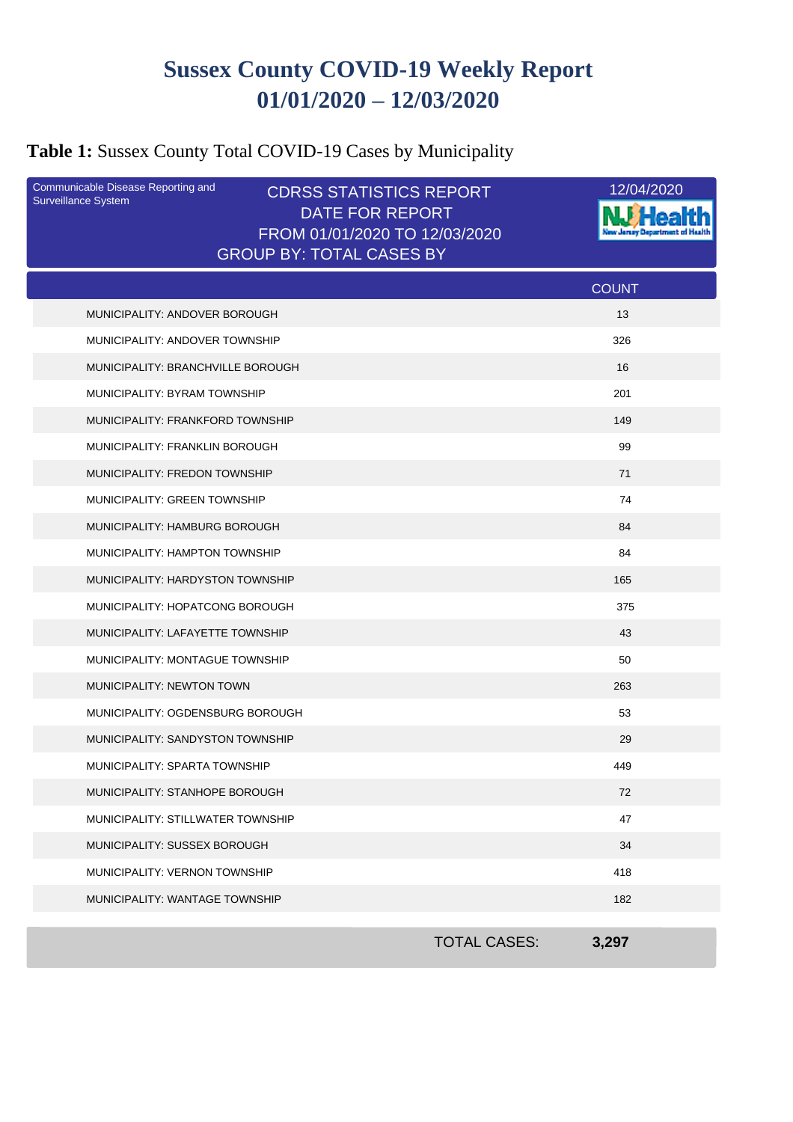# **Sussex County COVID-19 Weekly Report 01/01/2020 – 12/03/2020**

# **Table 1:** Sussex County Total COVID-19 Cases by Municipality

| Communicable Disease Reporting and<br>Surveillance System | <b>CDRSS STATISTICS REPORT</b><br><b>DATE FOR REPORT</b><br>FROM 01/01/2020 TO 12/03/2020 |                     | 12/04/2020   |
|-----------------------------------------------------------|-------------------------------------------------------------------------------------------|---------------------|--------------|
|                                                           | <b>GROUP BY: TOTAL CASES BY</b>                                                           |                     |              |
|                                                           |                                                                                           |                     | <b>COUNT</b> |
| MUNICIPALITY: ANDOVER BOROUGH                             |                                                                                           |                     | 13           |
| MUNICIPALITY: ANDOVER TOWNSHIP                            |                                                                                           |                     | 326          |
| MUNICIPALITY: BRANCHVILLE BOROUGH                         |                                                                                           |                     | 16           |
| MUNICIPALITY: BYRAM TOWNSHIP                              |                                                                                           |                     | 201          |
| MUNICIPALITY: FRANKFORD TOWNSHIP                          |                                                                                           |                     | 149          |
| <b>MUNICIPALITY: FRANKLIN BOROUGH</b>                     |                                                                                           |                     | 99           |
| MUNICIPALITY: FREDON TOWNSHIP                             |                                                                                           |                     | 71           |
| MUNICIPALITY: GREEN TOWNSHIP                              |                                                                                           |                     | 74           |
| MUNICIPALITY: HAMBURG BOROUGH                             |                                                                                           |                     | 84           |
| MUNICIPALITY: HAMPTON TOWNSHIP                            |                                                                                           |                     | 84           |
| MUNICIPALITY: HARDYSTON TOWNSHIP                          |                                                                                           |                     | 165          |
| MUNICIPALITY: HOPATCONG BOROUGH                           |                                                                                           |                     | 375          |
| MUNICIPALITY: LAFAYETTE TOWNSHIP                          |                                                                                           |                     | 43           |
| MUNICIPALITY: MONTAGUE TOWNSHIP                           |                                                                                           |                     | 50           |
| MUNICIPALITY: NEWTON TOWN                                 |                                                                                           |                     | 263          |
| MUNICIPALITY: OGDENSBURG BOROUGH                          |                                                                                           |                     | 53           |
| MUNICIPALITY: SANDYSTON TOWNSHIP                          |                                                                                           |                     | 29           |
| MUNICIPALITY: SPARTA TOWNSHIP                             |                                                                                           |                     | 449          |
| MUNICIPALITY: STANHOPE BOROUGH                            |                                                                                           |                     | 72           |
| MUNICIPALITY: STILLWATER TOWNSHIP                         |                                                                                           |                     | 47           |
| MUNICIPALITY: SUSSEX BOROUGH                              |                                                                                           |                     | 34           |
| MUNICIPALITY: VERNON TOWNSHIP                             |                                                                                           |                     | 418          |
| MUNICIPALITY: WANTAGE TOWNSHIP                            |                                                                                           |                     | 182          |
|                                                           |                                                                                           | <b>TOTAL CASES:</b> | 3,297        |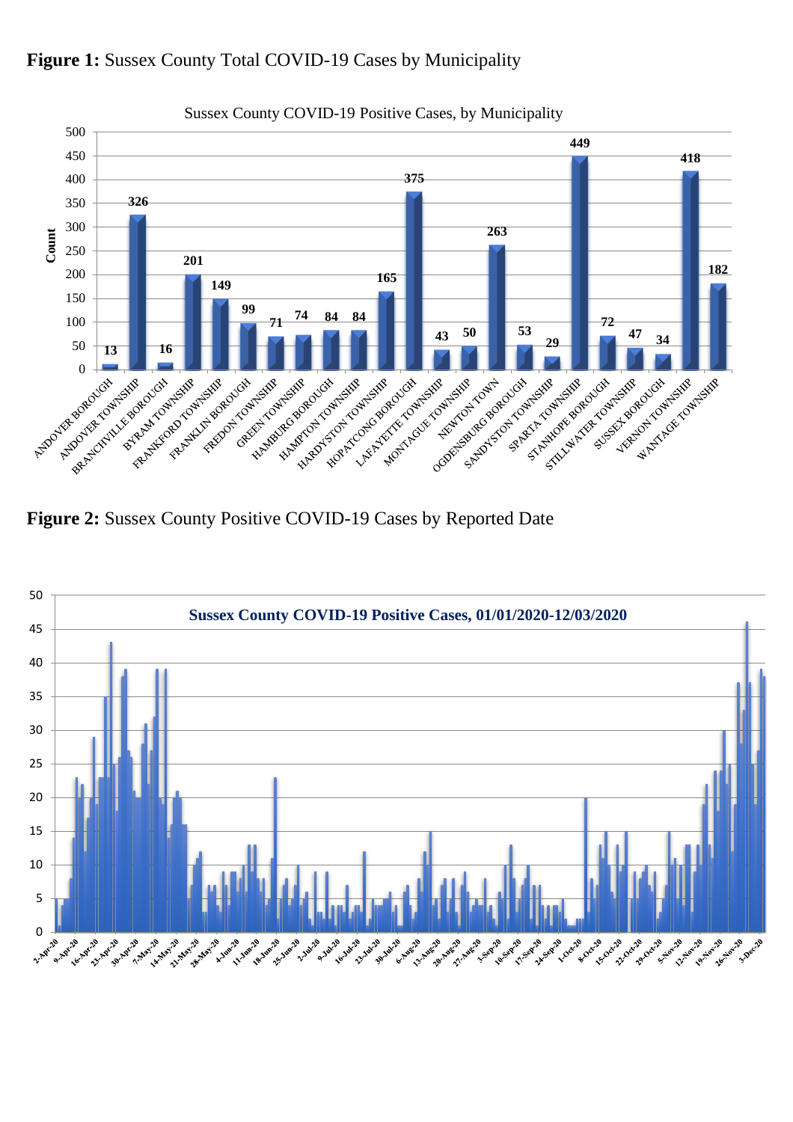



**Figure 2:** Sussex County Positive COVID-19 Cases by Reported Date

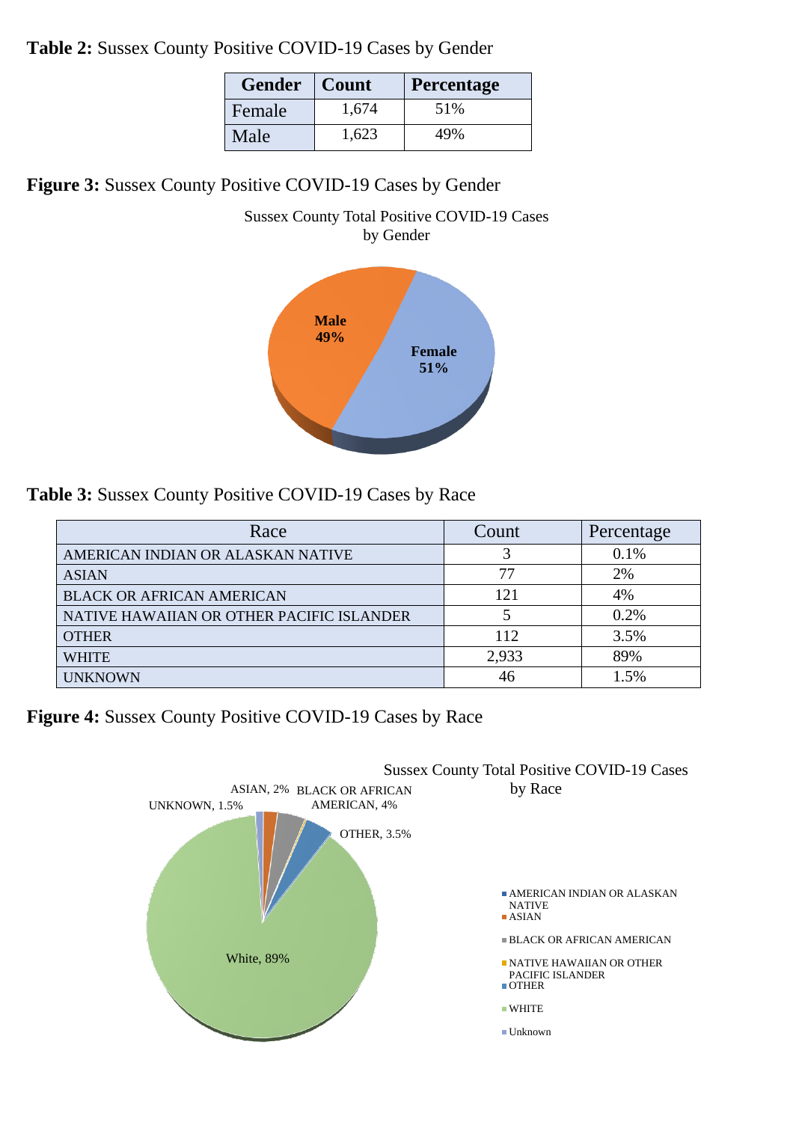**Table 2:** Sussex County Positive COVID-19 Cases by Gender

| <b>Gender</b> | Count | <b>Percentage</b> |
|---------------|-------|-------------------|
| Female        | 1,674 | 51%               |
| Male          | 1,623 | 49%               |

**Figure 3:** Sussex County Positive COVID-19 Cases by Gender



**Table 3:** Sussex County Positive COVID-19 Cases by Race

| Race                                      | Count | Percentage |
|-------------------------------------------|-------|------------|
| AMERICAN INDIAN OR ALASKAN NATIVE         |       | 0.1%       |
| <b>ASIAN</b>                              | 77    | 2%         |
| <b>BLACK OR AFRICAN AMERICAN</b>          | 121   | 4%         |
| NATIVE HAWAIIAN OR OTHER PACIFIC ISLANDER |       | 0.2%       |
| <b>OTHER</b>                              | 112   | 3.5%       |
| WHITE                                     | 2,933 | 89%        |
| <b>UNKNOWN</b>                            | 46    | 1.5%       |

**Figure 4:** Sussex County Positive COVID-19 Cases by Race

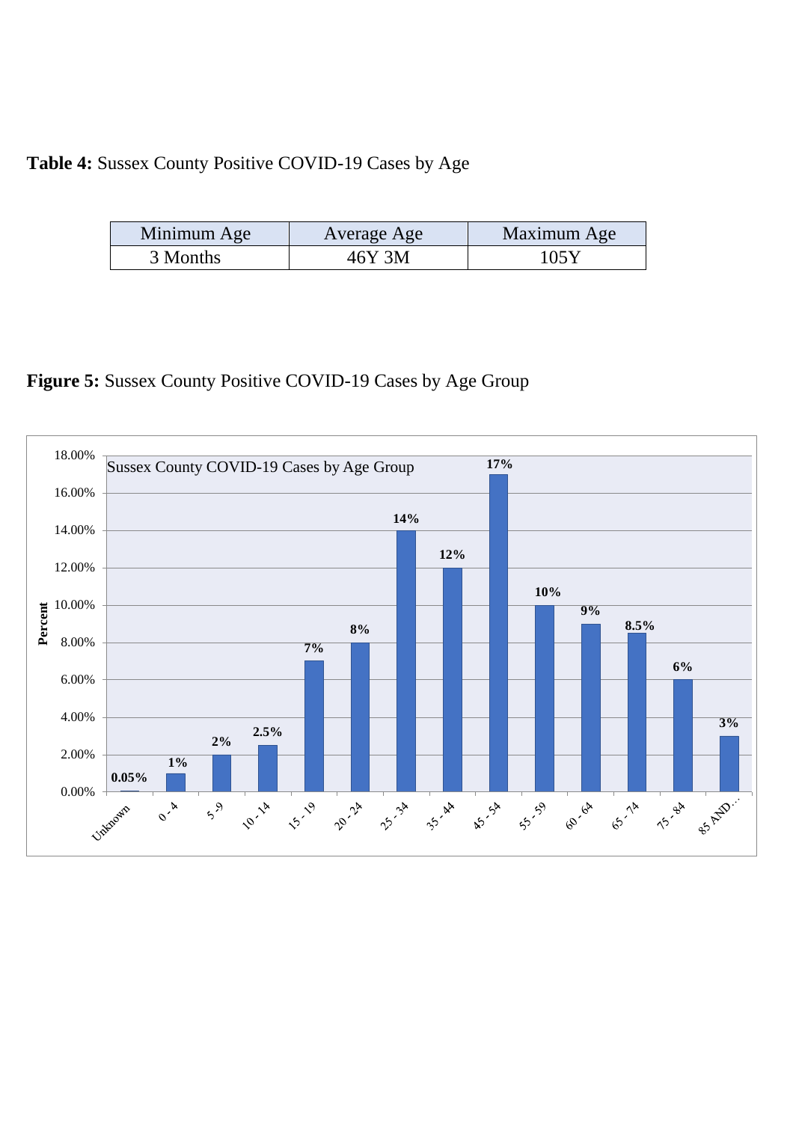# **Table 4:** Sussex County Positive COVID-19 Cases by Age

| Minimum Age | Average Age | Maximum Age |
|-------------|-------------|-------------|
| 3 Months    | 46Y 3M      | 105Y        |

**Figure 5:** Sussex County Positive COVID-19 Cases by Age Group

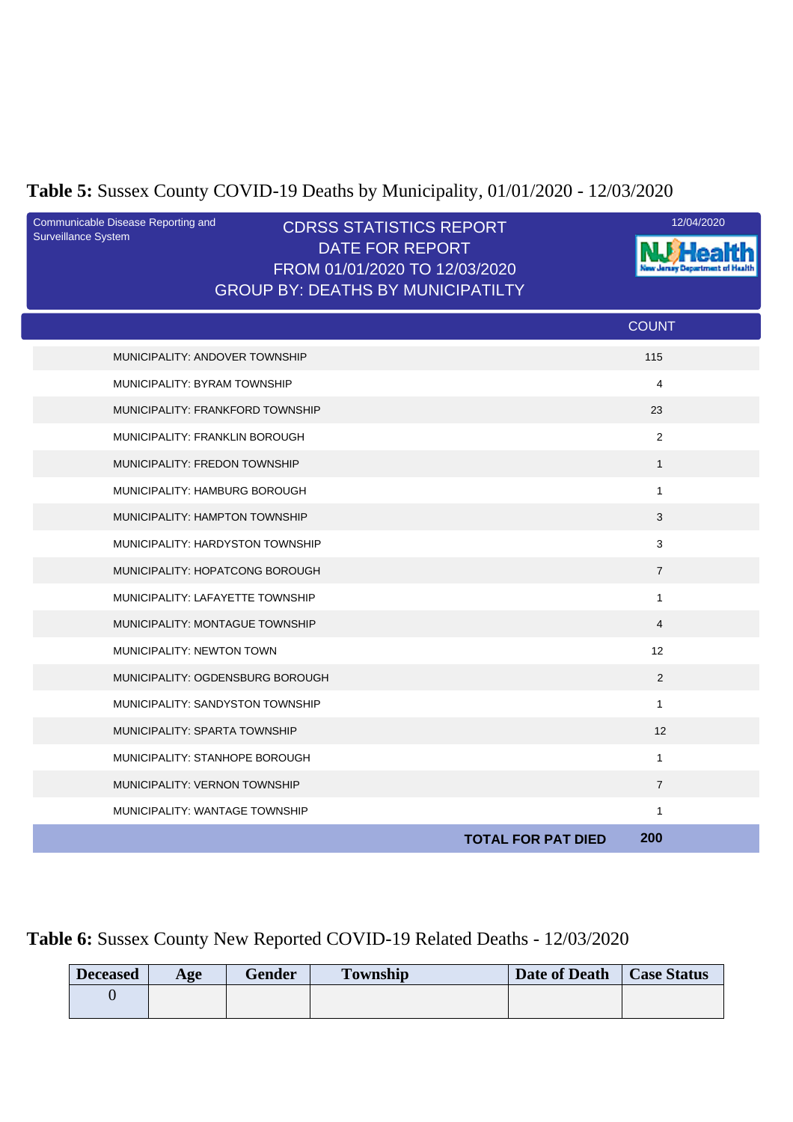# **Table 5:** Sussex County COVID-19 Deaths by Municipality, 01/01/2020 - 12/03/2020

| Communicable Disease Reporting and<br>Surveillance System | <b>CDRSS STATISTICS REPORT</b><br><b>DATE FOR REPORT</b><br>FROM 01/01/2020 TO 12/03/2020<br><b>GROUP BY: DEATHS BY MUNICIPATILTY</b> | 12/04/2020     |
|-----------------------------------------------------------|---------------------------------------------------------------------------------------------------------------------------------------|----------------|
|                                                           |                                                                                                                                       | <b>COUNT</b>   |
| MUNICIPALITY: ANDOVER TOWNSHIP                            |                                                                                                                                       | 115            |
| MUNICIPALITY: BYRAM TOWNSHIP                              |                                                                                                                                       | $\overline{4}$ |
| MUNICIPALITY: FRANKFORD TOWNSHIP                          |                                                                                                                                       | 23             |
| MUNICIPALITY: FRANKLIN BOROUGH                            |                                                                                                                                       | $\overline{c}$ |
| <b>MUNICIPALITY: FREDON TOWNSHIP</b>                      |                                                                                                                                       | $\mathbf{1}$   |
| MUNICIPALITY: HAMBURG BOROUGH                             |                                                                                                                                       | $\mathbf{1}$   |
| MUNICIPALITY: HAMPTON TOWNSHIP                            |                                                                                                                                       | 3              |
| MUNICIPALITY: HARDYSTON TOWNSHIP                          |                                                                                                                                       | 3              |
| MUNICIPALITY: HOPATCONG BOROUGH                           |                                                                                                                                       | $\overline{7}$ |
| MUNICIPALITY: LAFAYETTE TOWNSHIP                          |                                                                                                                                       | $\mathbf{1}$   |
| MUNICIPALITY: MONTAGUE TOWNSHIP                           |                                                                                                                                       | $\overline{4}$ |
| MUNICIPALITY: NEWTON TOWN                                 |                                                                                                                                       | 12             |
| MUNICIPALITY: OGDENSBURG BOROUGH                          |                                                                                                                                       | 2              |
| MUNICIPALITY: SANDYSTON TOWNSHIP                          |                                                                                                                                       | $\mathbf{1}$   |
| MUNICIPALITY: SPARTA TOWNSHIP                             |                                                                                                                                       | 12             |
| MUNICIPALITY: STANHOPE BOROUGH                            |                                                                                                                                       | $\mathbf{1}$   |
| MUNICIPALITY: VERNON TOWNSHIP                             |                                                                                                                                       | $\overline{7}$ |
| MUNICIPALITY: WANTAGE TOWNSHIP                            |                                                                                                                                       | $\mathbf{1}$   |
|                                                           | <b>TOTAL FOR PAT DIED</b>                                                                                                             | 200            |

### **Table 6:** Sussex County New Reported COVID-19 Related Deaths - 12/03/2020

| <b>Deceased</b> | Age | Gender | <b>Township</b> | Date of Death | <b>Case Status</b> |
|-----------------|-----|--------|-----------------|---------------|--------------------|
|                 |     |        |                 |               |                    |
|                 |     |        |                 |               |                    |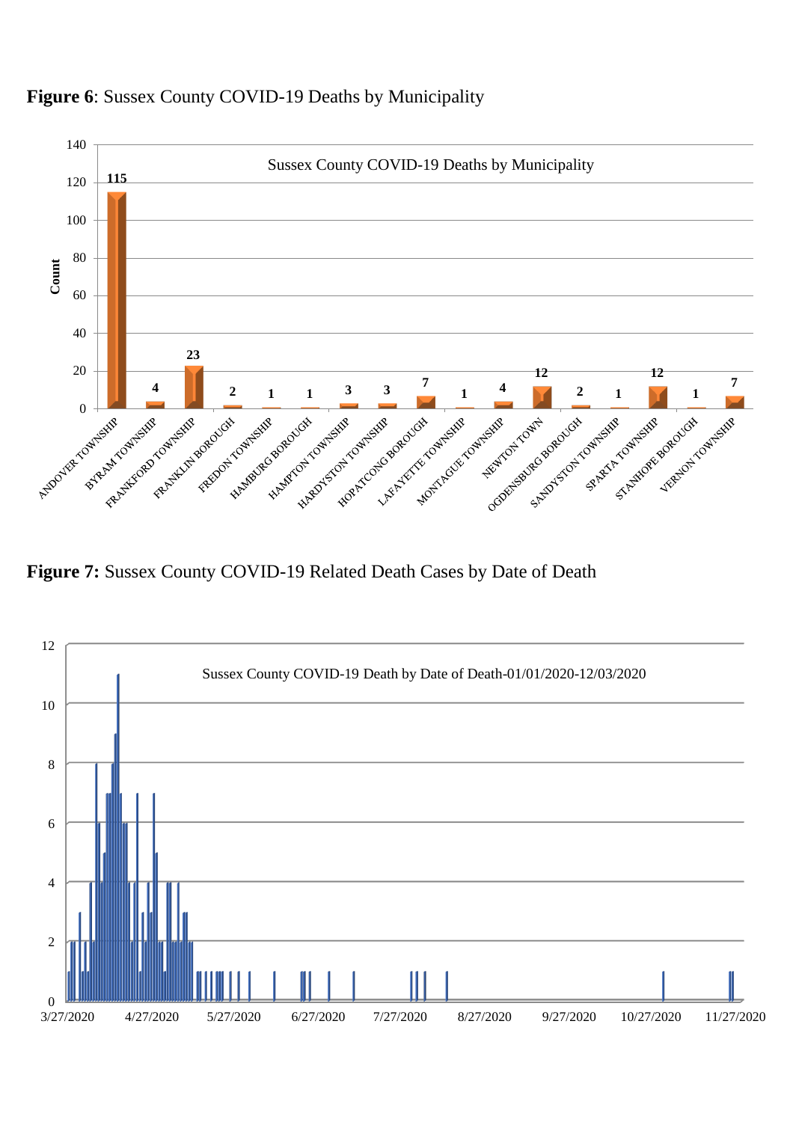

### **Figure 6**: Sussex County COVID-19 Deaths by Municipality

**Figure 7:** Sussex County COVID-19 Related Death Cases by Date of Death

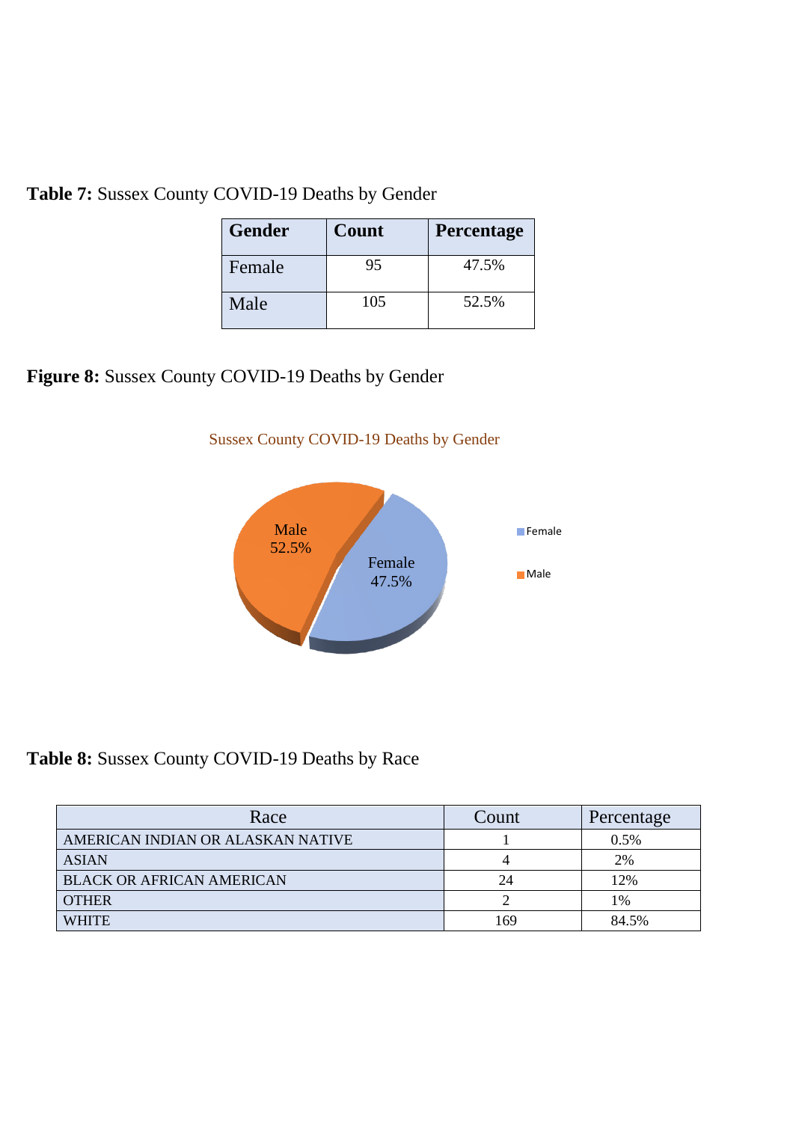|  | Table 7: Sussex County COVID-19 Deaths by Gender |  |  |  |
|--|--------------------------------------------------|--|--|--|
|--|--------------------------------------------------|--|--|--|

| <b>Gender</b> | Count | <b>Percentage</b> |
|---------------|-------|-------------------|
| Female        | 95    | 47.5%             |
| Male          | 105   | 52.5%             |

# **Figure 8:** Sussex County COVID-19 Deaths by Gender



#### Sussex County COVID-19 Deaths by Gender

**Table 8:** Sussex County COVID-19 Deaths by Race

| Race                              | Count | Percentage |
|-----------------------------------|-------|------------|
| AMERICAN INDIAN OR ALASKAN NATIVE |       | 0.5%       |
| <b>ASIAN</b>                      |       | 2%         |
| <b>BLACK OR AFRICAN AMERICAN</b>  | 24    | 12%        |
| <b>OTHER</b>                      |       | 1%         |
| <b>WHITE</b>                      | 169   | 84.5%      |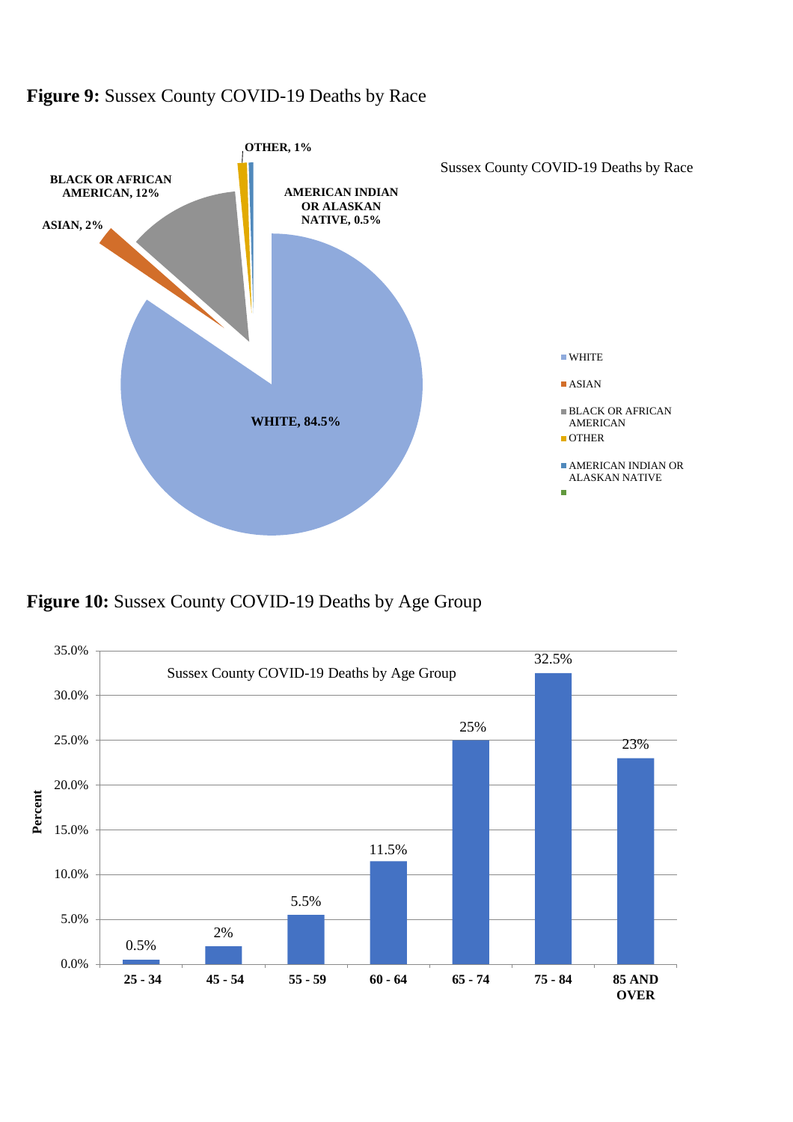#### **Figure 9:** Sussex County COVID-19 Deaths by Race



**Figure 10:** Sussex County COVID-19 Deaths by Age Group

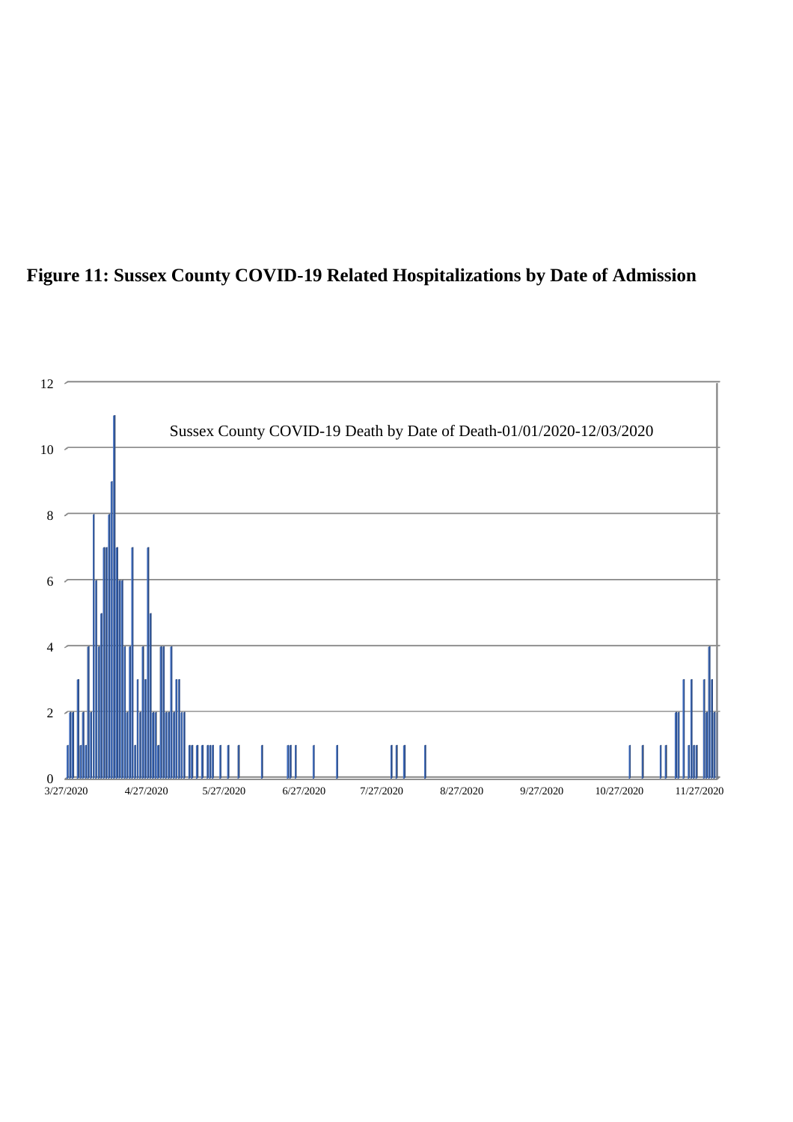

### **Figure 11: Sussex County COVID-19 Related Hospitalizations by Date of Admission**